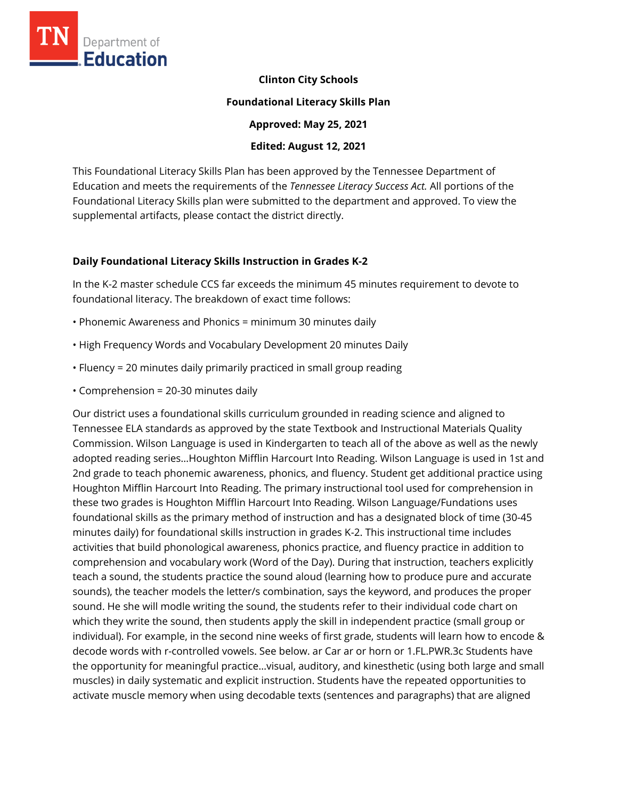

**Clinton City Schools** 

#### **Foundational Literacy Skills Plan**

**Approved: May 25, 2021** 

#### **Edited: August 12, 2021**

This Foundational Literacy Skills Plan has been approved by the Tennessee Department of Education and meets the requirements of the *Tennessee Literacy Success Act.* All portions of the Foundational Literacy Skills plan were submitted to the department and approved. To view the supplemental artifacts, please contact the district directly.

### **Daily Foundational Literacy Skills Instruction in Grades K-2**

In the K-2 master schedule CCS far exceeds the minimum 45 minutes requirement to devote to foundational literacy. The breakdown of exact time follows:

- Phonemic Awareness and Phonics = minimum 30 minutes daily
- High Frequency Words and Vocabulary Development 20 minutes Daily
- Fluency = 20 minutes daily primarily practiced in small group reading
- Comprehension = 20-30 minutes daily

Our district uses a foundational skills curriculum grounded in reading science and aligned to Tennessee ELA standards as approved by the state Textbook and Instructional Materials Quality Commission. Wilson Language is used in Kindergarten to teach all of the above as well as the newly adopted reading series…Houghton Mifflin Harcourt Into Reading. Wilson Language is used in 1st and 2nd grade to teach phonemic awareness, phonics, and fluency. Student get additional practice using Houghton Mifflin Harcourt Into Reading. The primary instructional tool used for comprehension in these two grades is Houghton Mifflin Harcourt Into Reading. Wilson Language/Fundations uses foundational skills as the primary method of instruction and has a designated block of time (30-45 minutes daily) for foundational skills instruction in grades K-2. This instructional time includes activities that build phonological awareness, phonics practice, and fluency practice in addition to comprehension and vocabulary work (Word of the Day). During that instruction, teachers explicitly teach a sound, the students practice the sound aloud (learning how to produce pure and accurate sounds), the teacher models the letter/s combination, says the keyword, and produces the proper sound. He she will modle writing the sound, the students refer to their individual code chart on which they write the sound, then students apply the skill in independent practice (small group or individual). For example, in the second nine weeks of first grade, students will learn how to encode & decode words with r-controlled vowels. See below. ar Car ar or horn or 1.FL.PWR.3c Students have the opportunity for meaningful practice…visual, auditory, and kinesthetic (using both large and small muscles) in daily systematic and explicit instruction. Students have the repeated opportunities to activate muscle memory when using decodable texts (sentences and paragraphs) that are aligned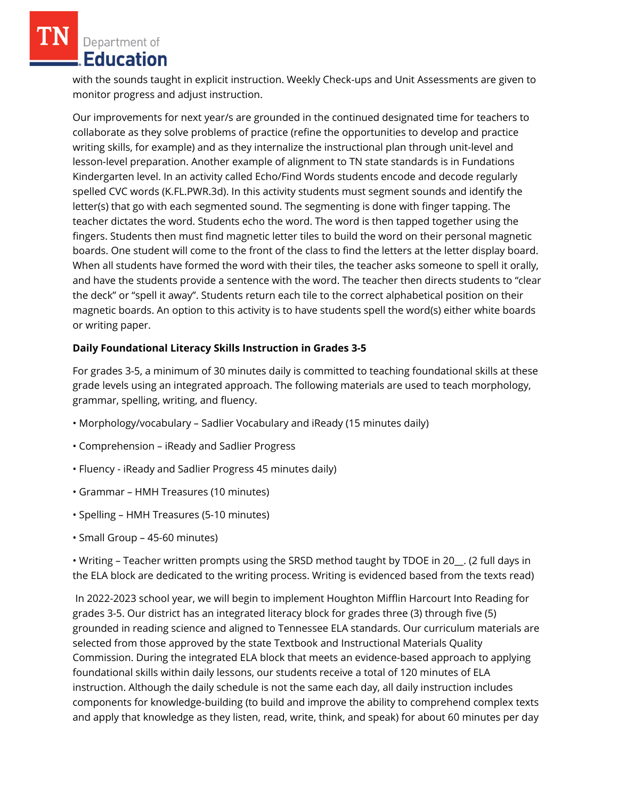Department of Education

with the sounds taught in explicit instruction. Weekly Check-ups and Unit Assessments are given to monitor progress and adjust instruction.

Our improvements for next year/s are grounded in the continued designated time for teachers to collaborate as they solve problems of practice (refine the opportunities to develop and practice writing skills, for example) and as they internalize the instructional plan through unit-level and lesson-level preparation. Another example of alignment to TN state standards is in Fundations Kindergarten level. In an activity called Echo/Find Words students encode and decode regularly spelled CVC words (K.FL.PWR.3d). In this activity students must segment sounds and identify the letter(s) that go with each segmented sound. The segmenting is done with finger tapping. The teacher dictates the word. Students echo the word. The word is then tapped together using the fingers. Students then must find magnetic letter tiles to build the word on their personal magnetic boards. One student will come to the front of the class to find the letters at the letter display board. When all students have formed the word with their tiles, the teacher asks someone to spell it orally, and have the students provide a sentence with the word. The teacher then directs students to "clear the deck" or "spell it away". Students return each tile to the correct alphabetical position on their magnetic boards. An option to this activity is to have students spell the word(s) either white boards or writing paper.

## **Daily Foundational Literacy Skills Instruction in Grades 3-5**

For grades 3-5, a minimum of 30 minutes daily is committed to teaching foundational skills at these grade levels using an integrated approach. The following materials are used to teach morphology, grammar, spelling, writing, and fluency.

- Morphology/vocabulary Sadlier Vocabulary and iReady (15 minutes daily)
- Comprehension iReady and Sadlier Progress
- Fluency iReady and Sadlier Progress 45 minutes daily)
- Grammar HMH Treasures (10 minutes)
- Spelling HMH Treasures (5-10 minutes)
- Small Group 45-60 minutes)

• Writing – Teacher written prompts using the SRSD method taught by TDOE in 20\_\_. (2 full days in the ELA block are dedicated to the writing process. Writing is evidenced based from the texts read)

In 2022-2023 school year, we will begin to implement Houghton Mifflin Harcourt Into Reading for grades 3-5. Our district has an integrated literacy block for grades three (3) through five (5) grounded in reading science and aligned to Tennessee ELA standards. Our curriculum materials are selected from those approved by the state Textbook and Instructional Materials Quality Commission. During the integrated ELA block that meets an evidence-based approach to applying foundational skills within daily lessons, our students receive a total of 120 minutes of ELA instruction. Although the daily schedule is not the same each day, all daily instruction includes components for knowledge-building (to build and improve the ability to comprehend complex texts and apply that knowledge as they listen, read, write, think, and speak) for about 60 minutes per day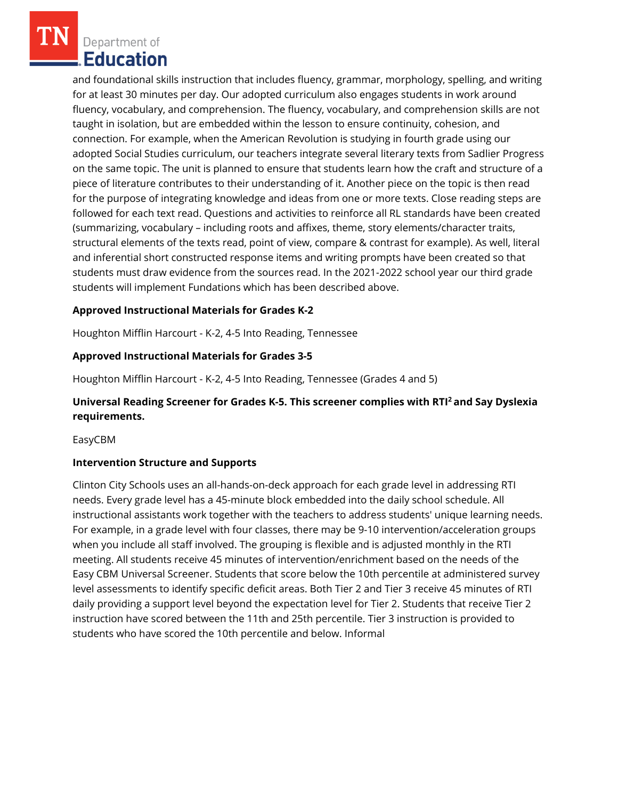Department of **Education** 

and foundational skills instruction that includes fluency, grammar, morphology, spelling, and writing for at least 30 minutes per day. Our adopted curriculum also engages students in work around fluency, vocabulary, and comprehension. The fluency, vocabulary, and comprehension skills are not taught in isolation, but are embedded within the lesson to ensure continuity, cohesion, and connection. For example, when the American Revolution is studying in fourth grade using our adopted Social Studies curriculum, our teachers integrate several literary texts from Sadlier Progress on the same topic. The unit is planned to ensure that students learn how the craft and structure of a piece of literature contributes to their understanding of it. Another piece on the topic is then read for the purpose of integrating knowledge and ideas from one or more texts. Close reading steps are followed for each text read. Questions and activities to reinforce all RL standards have been created (summarizing, vocabulary – including roots and affixes, theme, story elements/character traits, structural elements of the texts read, point of view, compare & contrast for example). As well, literal and inferential short constructed response items and writing prompts have been created so that students must draw evidence from the sources read. In the 2021-2022 school year our third grade students will implement Fundations which has been described above.

## **Approved Instructional Materials for Grades K-2**

Houghton Mifflin Harcourt - K-2, 4-5 Into Reading, Tennessee

### **Approved Instructional Materials for Grades 3-5**

Houghton Mifflin Harcourt - K-2, 4-5 Into Reading, Tennessee (Grades 4 and 5)

# **Universal Reading Screener for Grades K-5. This screener complies with RTI<sup>2</sup>and Say Dyslexia requirements.**

EasyCBM

### **Intervention Structure and Supports**

Clinton City Schools uses an all-hands-on-deck approach for each grade level in addressing RTI needs. Every grade level has a 45-minute block embedded into the daily school schedule. All instructional assistants work together with the teachers to address students' unique learning needs. For example, in a grade level with four classes, there may be 9-10 intervention/acceleration groups when you include all staff involved. The grouping is flexible and is adjusted monthly in the RTI meeting. All students receive 45 minutes of intervention/enrichment based on the needs of the Easy CBM Universal Screener. Students that score below the 10th percentile at administered survey level assessments to identify specific deficit areas. Both Tier 2 and Tier 3 receive 45 minutes of RTI daily providing a support level beyond the expectation level for Tier 2. Students that receive Tier 2 instruction have scored between the 11th and 25th percentile. Tier 3 instruction is provided to students who have scored the 10th percentile and below. Informal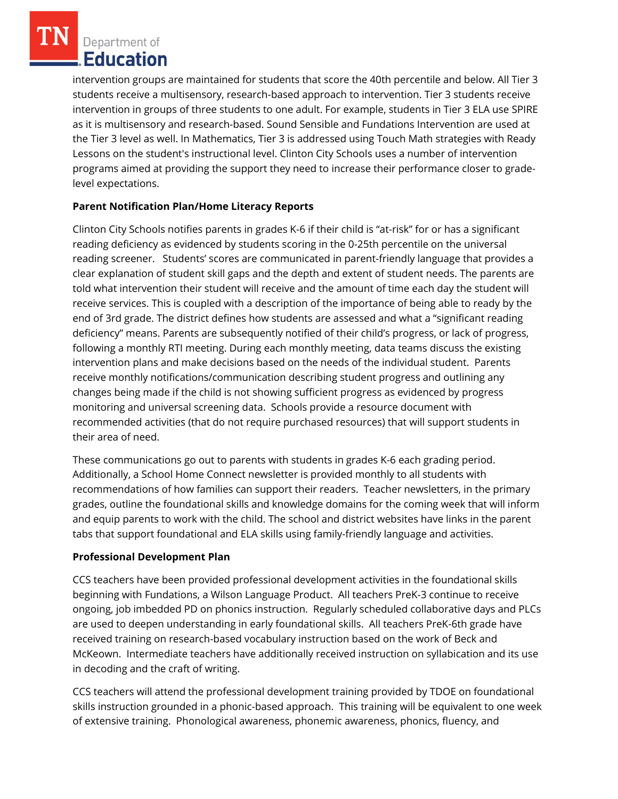Department of Education

intervention groups are maintained for students that score the 40th percentile and below. All Tier 3 students receive a multisensory, research-based approach to intervention. Tier 3 students receive intervention in groups of three students to one adult. For example, students in Tier 3 ELA use SPIRE as it is multisensory and research-based. Sound Sensible and Fundations Intervention are used at the Tier 3 level as well. In Mathematics, Tier 3 is addressed using Touch Math strategies with Ready Lessons on the student's instructional level. Clinton City Schools uses a number of intervention programs aimed at providing the support they need to increase their performance closer to gradelevel expectations.

# **Parent Notification Plan/Home Literacy Reports**

Clinton City Schools notifies parents in grades K-6 if their child is "at-risk" for or has a significant reading deficiency as evidenced by students scoring in the 0-25th percentile on the universal reading screener. Students' scores are communicated in parent-friendly language that provides a clear explanation of student skill gaps and the depth and extent of student needs. The parents are told what intervention their student will receive and the amount of time each day the student will receive services. This is coupled with a description of the importance of being able to ready by the end of 3rd grade. The district defines how students are assessed and what a "significant reading deficiency" means. Parents are subsequently notified of their child's progress, or lack of progress, following a monthly RTI meeting. During each monthly meeting, data teams discuss the existing intervention plans and make decisions based on the needs of the individual student. Parents receive monthly notifications/communication describing student progress and outlining any changes being made if the child is not showing sufficient progress as evidenced by progress monitoring and universal screening data. Schools provide a resource document with recommended activities (that do not require purchased resources) that will support students in their area of need.

These communications go out to parents with students in grades K-6 each grading period. Additionally, a School Home Connect newsletter is provided monthly to all students with recommendations of how families can support their readers. Teacher newsletters, in the primary grades, outline the foundational skills and knowledge domains for the coming week that will inform and equip parents to work with the child. The school and district websites have links in the parent tabs that support foundational and ELA skills using family-friendly language and activities.

### **Professional Development Plan**

CCS teachers have been provided professional development activities in the foundational skills beginning with Fundations, a Wilson Language Product. All teachers PreK-3 continue to receive ongoing, job imbedded PD on phonics instruction. Regularly scheduled collaborative days and PLCs are used to deepen understanding in early foundational skills. All teachers PreK-6th grade have received training on research-based vocabulary instruction based on the work of Beck and McKeown. Intermediate teachers have additionally received instruction on syllabication and its use in decoding and the craft of writing.

CCS teachers will attend the professional development training provided by TDOE on foundational skills instruction grounded in a phonic-based approach. This training will be equivalent to one week of extensive training. Phonological awareness, phonemic awareness, phonics, fluency, and